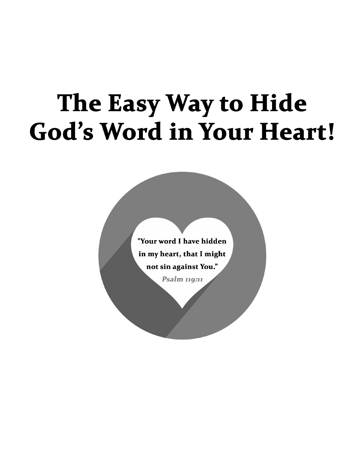# The Easy Way to Hide **God's Word in Your Heart!**

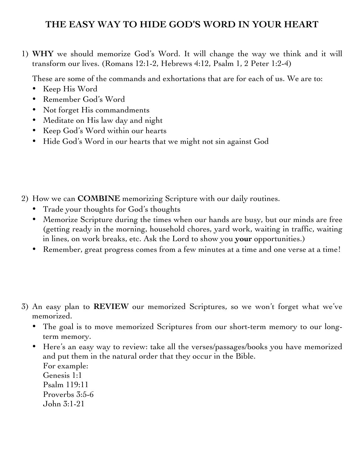### **THE EASY WAY TO HIDE GOD'S WORD IN YOUR HEART**

1) **WHY** we should memorize God's Word. It will change the way we think and it will transform our lives. (Romans 12:1-2, Hebrews 4:12, Psalm 1, 2 Peter 1:2-4)

These are some of the commands and exhortations that are for each of us. We are to:

- Keep His Word
- Remember God's Word
- Not forget His commandments
- Meditate on His law day and night
- Keep God's Word within our hearts
- Hide God's Word in our hearts that we might not sin against God

- 2) How we can **COMBINE** memorizing Scripture with our daily routines.
	- Trade your thoughts for God's thoughts
	- Memorize Scripture during the times when our hands are busy, but our minds are free (getting ready in the morning, household chores, yard work, waiting in traffic, waiting in lines, on work breaks, etc. Ask the Lord to show you **your** opportunities.)
	- Remember, great progress comes from a few minutes at a time and one verse at a time!
- 3) An easy plan to **REVIEW** our memorized Scriptures, so we won't forget what we've memorized.
	- The goal is to move memorized Scriptures from our short-term memory to our longterm memory.
	- Here's an easy way to review: take all the verses/passages/books you have memorized and put them in the natural order that they occur in the Bible.
		- For example: Genesis 1:1 Psalm 119:11 Proverbs 3:5-6 John 3:1-21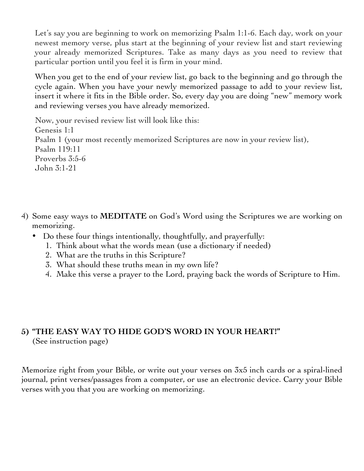Let's say you are beginning to work on memorizing Psalm 1:1-6. Each day, work on your newest memory verse, plus start at the beginning of your review list and start reviewing your already memorized Scriptures. Take as many days as you need to review that particular portion until you feel it is firm in your mind.

When you get to the end of your review list, go back to the beginning and go through the cycle again. When you have your newly memorized passage to add to your review list, insert it where it fits in the Bible order. So, every day you are doing "new" memory work and reviewing verses you have already memorized.

Now, your revised review list will look like this: Genesis 1:1 Psalm 1 (your most recently memorized Scriptures are now in your review list), Psalm 119:11 Proverbs 3:5-6 John 3:1-21

- 4) Some easy ways to **MEDITATE** on God's Word using the Scriptures we are working on memorizing.
	- Do these four things intentionally, thoughtfully, and prayerfully:
		- 1. Think about what the words mean (use a dictionary if needed)
		- 2. What are the truths in this Scripture?
		- 3. What should these truths mean in my own life?
		- 4. Make this verse a prayer to the Lord, praying back the words of Scripture to Him.

### **5) "THE EASY WAY TO HIDE GOD'S WORD IN YOUR HEART!"** (See instruction page)

Memorize right from your Bible, or write out your verses on 3x5 inch cards or a spiral-lined journal, print verses/passages from a computer, or use an electronic device. Carry your Bible verses with you that you are working on memorizing.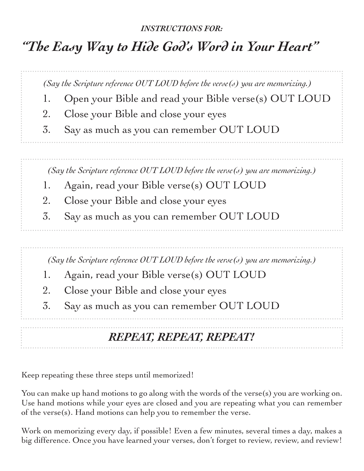### *INSTRUCTIONS FOR:*

## *"The Easy Way to Hide God's Word in Your Heart"*

*(Say the Scripture reference OUT LOUD before the verse(s) you are memorizing.)*

- 1. Open your Bible and read your Bible verse(s) OUT LOUD
- 2. Close your Bible and close your eyes
- 3. Say as much as you can remember OUT LOUD

*(Say the Scripture reference OUT LOUD before the verse(s) you are memorizing.)*

- 1. Again, read your Bible verse(s) OUT LOUD
- 2. Close your Bible and close your eyes
- 3. Say as much as you can remember OUT LOUD

*(Say the Scripture reference OUT LOUD before the verse(s) you are memorizing.)*

- 1. Again, read your Bible verse(s) OUT LOUD
- 2. Close your Bible and close your eyes
- 3. Say as much as you can remember OUT LOUD

### *REPEAT, REPEAT, REPEAT!*

Keep repeating these three steps until memorized!

You can make up hand motions to go along with the words of the verse(s) you are working on. Use hand motions while your eyes are closed and you are repeating what you can remember of the verse(s). Hand motions can help you to remember the verse.

Work on memorizing every day, if possible! Even a few minutes, several times a day, makes a big difference. Once you have learned your verses, don't forget to review, review, and review!